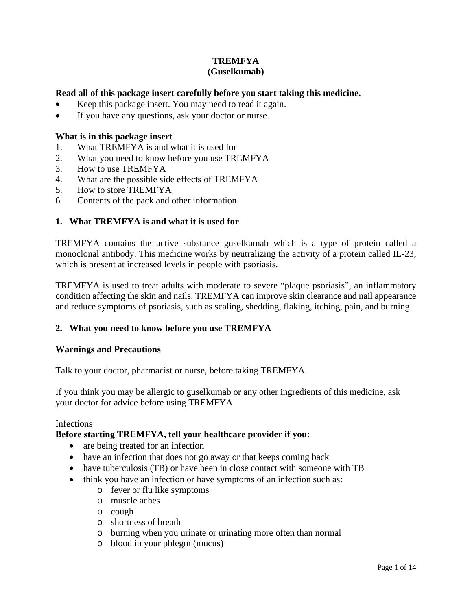# **TREMFYA**

### **(Guselkumab)**

### **Read all of this package insert carefully before you start taking this medicine.**

- Keep this package insert. You may need to read it again.
- If you have any questions, ask your doctor or nurse.

### **What is in this package insert**

- 1. What TREMFYA is and what it is used for
- 2. What you need to know before you use TREMFYA
- 3. How to use TREMFYA
- 4. What are the possible side effects of TREMFYA
- 5. How to store TREMFYA
- 6. Contents of the pack and other information

### **1. What TREMFYA is and what it is used for**

TREMFYA contains the active substance guselkumab which is a type of protein called a monoclonal antibody. This medicine works by neutralizing the activity of a protein called IL-23, which is present at increased levels in people with psoriasis.

TREMFYA is used to treat adults with moderate to severe "plaque psoriasis", an inflammatory condition affecting the skin and nails. TREMFYA can improve skin clearance and nail appearance and reduce symptoms of psoriasis, such as scaling, shedding, flaking, itching, pain, and burning.

### **2. What you need to know before you use TREMFYA**

### **Warnings and Precautions**

Talk to your doctor, pharmacist or nurse, before taking TREMFYA.

If you think you may be allergic to guselkumab or any other ingredients of this medicine, ask your doctor for advice before using TREMFYA.

### Infections

### **Before starting TREMFYA, tell your healthcare provider if you:**

- are being treated for an infection
- have an infection that does not go away or that keeps coming back
- have tuberculosis (TB) or have been in close contact with someone with TB
- think you have an infection or have symptoms of an infection such as:
	- o fever or flu like symptoms
	- o muscle aches
	- o cough
	- o shortness of breath
	- o burning when you urinate or urinating more often than normal
	- o blood in your phlegm (mucus)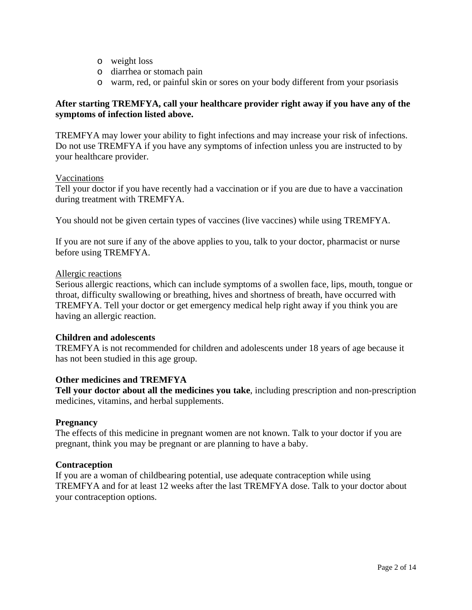- o weight loss
- o diarrhea or stomach pain
- o warm, red, or painful skin or sores on your body different from your psoriasis

### **After starting TREMFYA, call your healthcare provider right away if you have any of the symptoms of infection listed above.**

TREMFYA may lower your ability to fight infections and may increase your risk of infections. Do not use TREMFYA if you have any symptoms of infection unless you are instructed to by your healthcare provider.

### Vaccinations

Tell your doctor if you have recently had a vaccination or if you are due to have a vaccination during treatment with TREMFYA.

You should not be given certain types of vaccines (live vaccines) while using TREMFYA.

If you are not sure if any of the above applies to you, talk to your doctor, pharmacist or nurse before using TREMFYA.

### Allergic reactions

Serious allergic reactions, which can include symptoms of a swollen face, lips, mouth, tongue or throat, difficulty swallowing or breathing, hives and shortness of breath, have occurred with TREMFYA. Tell your doctor or get emergency medical help right away if you think you are having an allergic reaction.

### **Children and adolescents**

TREMFYA is not recommended for children and adolescents under 18 years of age because it has not been studied in this age group.

### **Other medicines and TREMFYA**

**Tell your doctor about all the medicines you take**, including prescription and non-prescription medicines, vitamins, and herbal supplements.

### **Pregnancy**

The effects of this medicine in pregnant women are not known. Talk to your doctor if you are pregnant, think you may be pregnant or are planning to have a baby.

### **Contraception**

If you are a woman of childbearing potential, use adequate contraception while using TREMFYA and for at least 12 weeks after the last TREMFYA dose. Talk to your doctor about your contraception options.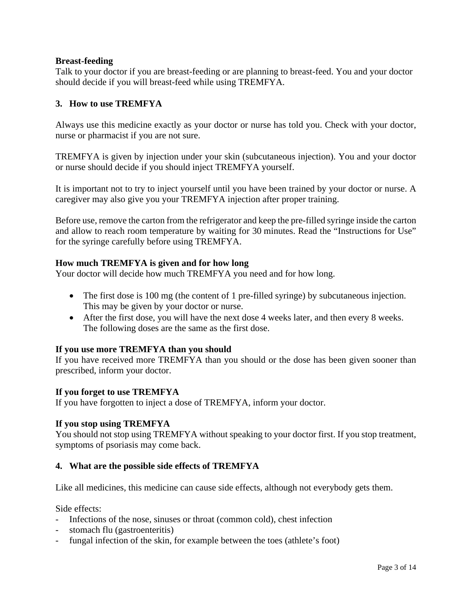### **Breast-feeding**

Talk to your doctor if you are breast-feeding or are planning to breast-feed. You and your doctor should decide if you will breast-feed while using TREMFYA.

### **3. How to use TREMFYA**

Always use this medicine exactly as your doctor or nurse has told you. Check with your doctor, nurse or pharmacist if you are not sure.

TREMFYA is given by injection under your skin (subcutaneous injection). You and your doctor or nurse should decide if you should inject TREMFYA yourself.

It is important not to try to inject yourself until you have been trained by your doctor or nurse. A caregiver may also give you your TREMFYA injection after proper training.

Before use, remove the carton from the refrigerator and keep the pre-filled syringe inside the carton and allow to reach room temperature by waiting for 30 minutes. Read the "Instructions for Use" for the syringe carefully before using TREMFYA.

### **How much TREMFYA is given and for how long**

Your doctor will decide how much TREMFYA you need and for how long.

- The first dose is 100 mg (the content of 1 pre-filled syringe) by subcutaneous injection. This may be given by your doctor or nurse.
- After the first dose, you will have the next dose 4 weeks later, and then every 8 weeks. The following doses are the same as the first dose.

### **If you use more TREMFYA than you should**

If you have received more TREMFYA than you should or the dose has been given sooner than prescribed, inform your doctor.

### **If you forget to use TREMFYA**

If you have forgotten to inject a dose of TREMFYA, inform your doctor.

### **If you stop using TREMFYA**

You should not stop using TREMFYA without speaking to your doctor first. If you stop treatment, symptoms of psoriasis may come back.

### **4. What are the possible side effects of TREMFYA**

Like all medicines, this medicine can cause side effects, although not everybody gets them.

Side effects:

- Infections of the nose, sinuses or throat (common cold), chest infection
- stomach flu (gastroenteritis)
- fungal infection of the skin, for example between the toes (athlete's foot)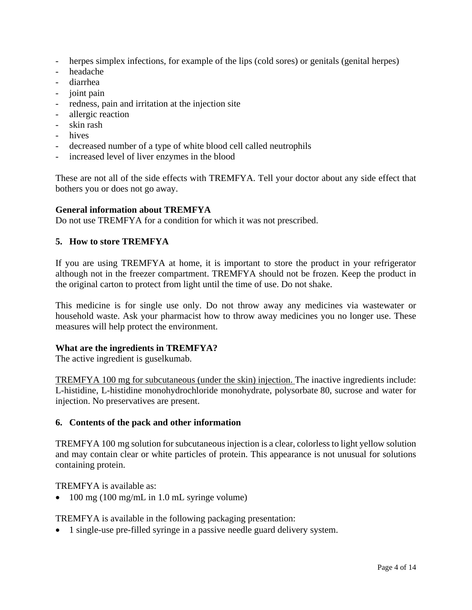- herpes simplex infections, for example of the lips (cold sores) or genitals (genital herpes)
- headache
- diarrhea
- joint pain
- redness, pain and irritation at the injection site
- allergic reaction
- skin rash
- hives
- decreased number of a type of white blood cell called neutrophils
- increased level of liver enzymes in the blood

These are not all of the side effects with TREMFYA. Tell your doctor about any side effect that bothers you or does not go away.

### **General information about TREMFYA**

Do not use TREMFYA for a condition for which it was not prescribed.

### **5. How to store TREMFYA**

If you are using TREMFYA at home, it is important to store the product in your refrigerator although not in the freezer compartment. TREMFYA should not be frozen. Keep the product in the original carton to protect from light until the time of use. Do not shake.

This medicine is for single use only. Do not throw away any medicines via wastewater or household waste. Ask your pharmacist how to throw away medicines you no longer use. These measures will help protect the environment.

### **What are the ingredients in TREMFYA?**

The active ingredient is guselkumab.

TREMFYA 100 mg for subcutaneous (under the skin) injection. The inactive ingredients include: L-histidine, L-histidine monohydrochloride monohydrate, polysorbate 80, sucrose and water for injection. No preservatives are present.

### **6. Contents of the pack and other information**

TREMFYA 100 mg solution for subcutaneous injection is a clear, colorless to light yellow solution and may contain clear or white particles of protein. This appearance is not unusual for solutions containing protein.

TREMFYA is available as:

• 100 mg (100 mg/mL in 1.0 mL syringe volume)

TREMFYA is available in the following packaging presentation:

• 1 single-use pre-filled syringe in a passive needle guard delivery system.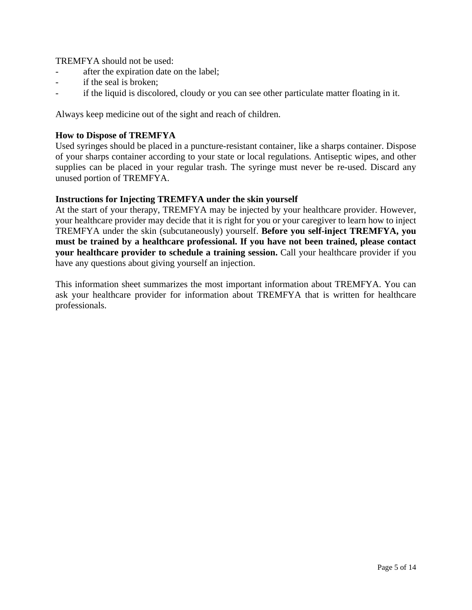TREMFYA should not be used:

- after the expiration date on the label;
- if the seal is broken;
- if the liquid is discolored, cloudy or you can see other particulate matter floating in it.

Always keep medicine out of the sight and reach of children.

### **How to Dispose of TREMFYA**

Used syringes should be placed in a puncture-resistant container, like a sharps container. Dispose of your sharps container according to your state or local regulations. Antiseptic wipes, and other supplies can be placed in your regular trash. The syringe must never be re-used. Discard any unused portion of TREMFYA.

### **Instructions for Injecting TREMFYA under the skin yourself**

At the start of your therapy, TREMFYA may be injected by your healthcare provider. However, your healthcare provider may decide that it is right for you or your caregiver to learn how to inject TREMFYA under the skin (subcutaneously) yourself. **Before you self-inject TREMFYA, you must be trained by a healthcare professional. If you have not been trained, please contact your healthcare provider to schedule a training session.** Call your healthcare provider if you have any questions about giving yourself an injection.

This information sheet summarizes the most important information about TREMFYA. You can ask your healthcare provider for information about TREMFYA that is written for healthcare professionals.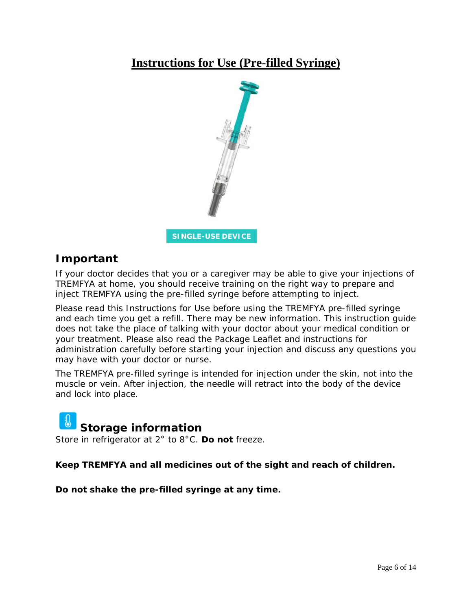# **Instructions for Use (Pre-filled Syringe)**



# **Important**

If your doctor decides that you or a caregiver may be able to give your injections of TREMFYA at home, you should receive training on the right way to prepare and inject TREMFYA using the pre-filled syringe before attempting to inject.

Please read this Instructions for Use before using the TREMFYA pre-filled syringe and each time you get a refill. There may be new information. This instruction guide does not take the place of talking with your doctor about your medical condition or your treatment. Please also read the Package Leaflet and instructions for administration carefully before starting your injection and discuss any questions you may have with your doctor or nurse.

The TREMFYA pre-filled syringe is intended for injection under the skin, not into the muscle or vein. After injection, the needle will retract into the body of the device and lock into place.

# **Storage information**

Store in refrigerator at 2° to 8°C. **Do not** freeze.

**Keep TREMFYA and all medicines out of the sight and reach of children.**

**Do not shake the pre-filled syringe at any time.**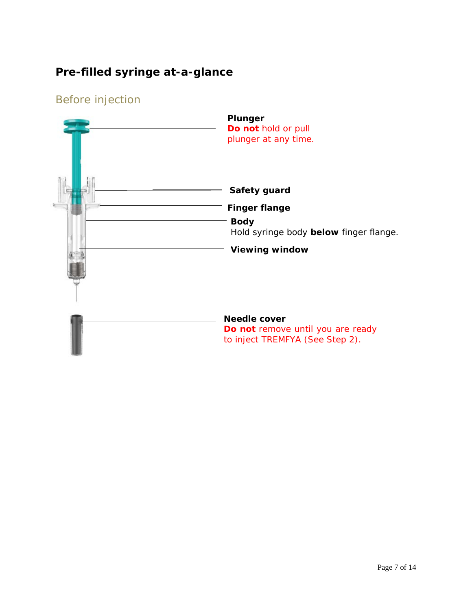# **Pre-filled syringe at-a-glance**

# Before injection

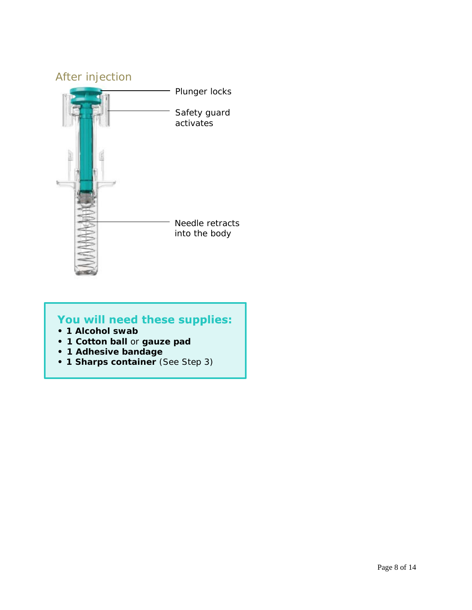

# You will need these supplies:

- **1 Alcohol swab**
- **• 1 Cotton ball** or **gauze pad**
- **• 1 Adhesive bandage**
- **1 Sharps container** (See Step 3)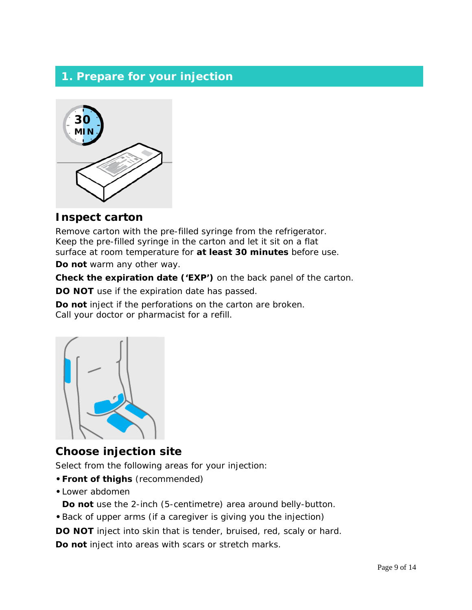# **1. Prepare for your injection**



### **Inspect carton**

Remove carton with the pre-filled syringe from the refrigerator. Keep the pre-filled syringe in the carton and let it sit on a flat surface at room temperature for **at least 30 minutes** before use.

**Do not** warm any other way.

**Check the expiration date ('EXP')** on the back panel of the carton.

**DO NOT** use if the expiration date has passed.

**Do not** inject if the perforations on the carton are broken. Call your doctor or pharmacist for a refill.



## **Choose injection site**

Select from the following areas for your injection:

- **•Front of thighs** (recommended)
- **•**Lower abdomen

**Do not** use the 2-inch (5-centimetre) area around belly-button.

**•**Back of upper arms (if a caregiver is giving you the injection)

**DO NOT** inject into skin that is tender, bruised, red, scaly or hard.

**Do not** inject into areas with scars or stretch marks.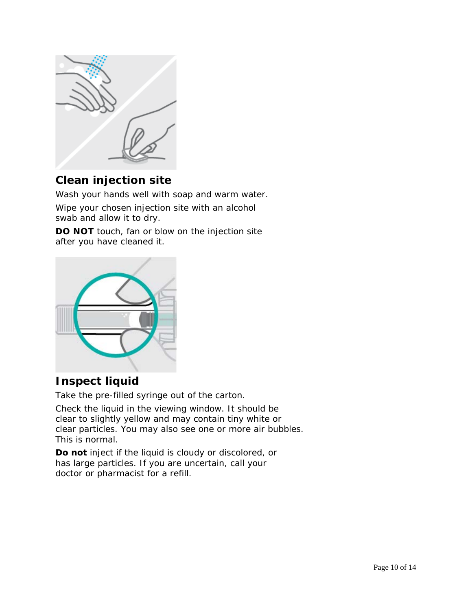

# **Clean injection site**

Wash your hands well with soap and warm water.

Wipe your chosen injection site with an alcohol swab and allow it to dry.

**DO NOT** touch, fan or blow on the injection site after you have cleaned it.



# **Inspect liquid**

Take the pre-filled syringe out of the carton.

Check the liquid in the viewing window. It should be clear to slightly yellow and may contain tiny white or clear particles. You may also see one or more air bubbles. This is normal.

**Do not** inject if the liquid is cloudy or discolored, or has large particles. If you are uncertain, call your doctor or pharmacist for a refill.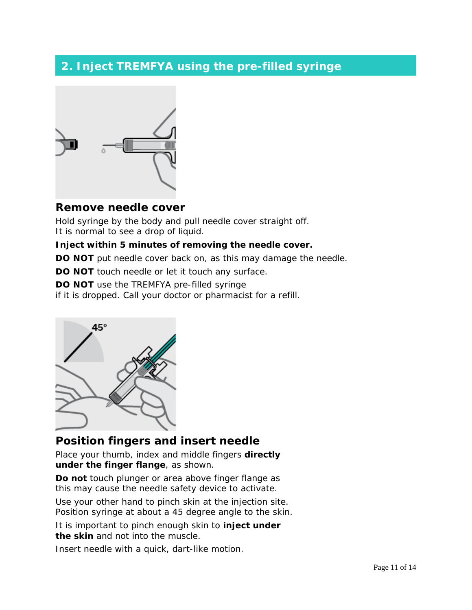# **2. Inject TREMFYA using the pre-filled syringe**



## **Remove needle cover**

Hold syringe by the body and pull needle cover straight off. It is normal to see a drop of liquid.

### **Inject within 5 minutes of removing the needle cover.**

**DO NOT** put needle cover back on, as this may damage the needle.

**DO NOT** touch needle or let it touch any surface.

**DO NOT** use the TREMFYA pre-filled syringe

if it is dropped. Call your doctor or pharmacist for a refill.



# **Position fingers and insert needle**

Place your thumb, index and middle fingers **directly under the finger flange**, as shown.

**Do not** touch plunger or area above finger flange as this may cause the needle safety device to activate.

Use your other hand to pinch skin at the injection site. Position syringe at about a 45 degree angle to the skin.

It is important to pinch enough skin to **inject under the skin** and not into the muscle.

Insert needle with a quick, dart-like motion.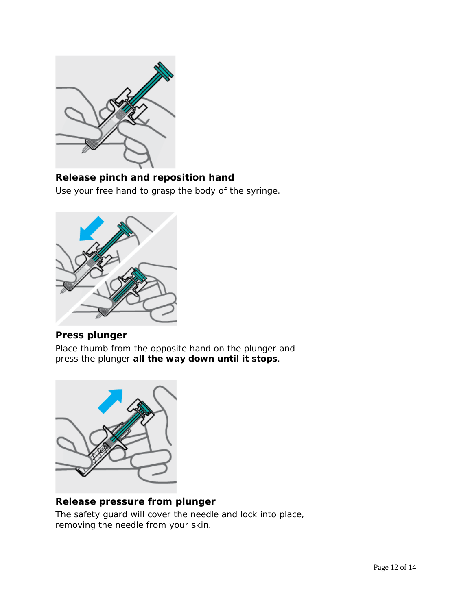

### **Release pinch and reposition hand**

Use your free hand to grasp the body of the syringe.



### **Press plunger**

Place thumb from the opposite hand on the plunger and press the plunger **all the way down until it stops**.



### **Release pressure from plunger**

The safety guard will cover the needle and lock into place, removing the needle from your skin.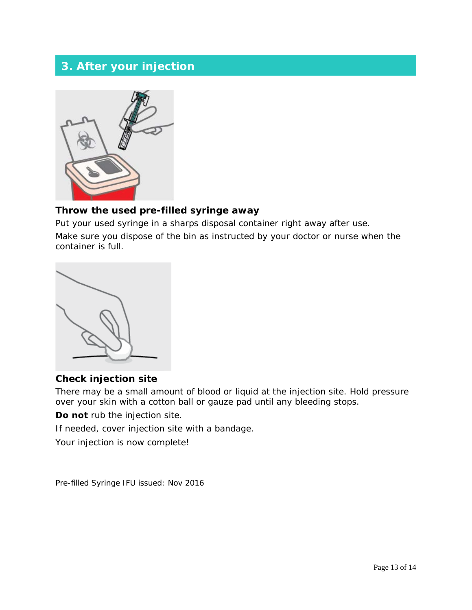# **3. After your injection**



### **Throw the used pre-filled syringe away**

Put your used syringe in a sharps disposal container right away after use. Make sure you dispose of the bin as instructed by your doctor or nurse when the container is full.



### **Check injection site**

There may be a small amount of blood or liquid at the injection site. Hold pressure over your skin with a cotton ball or gauze pad until any bleeding stops.

**Do not** rub the injection site.

If needed, cover injection site with a bandage.

Your injection is now complete!

Pre-filled Syringe IFU issued: Nov 2016